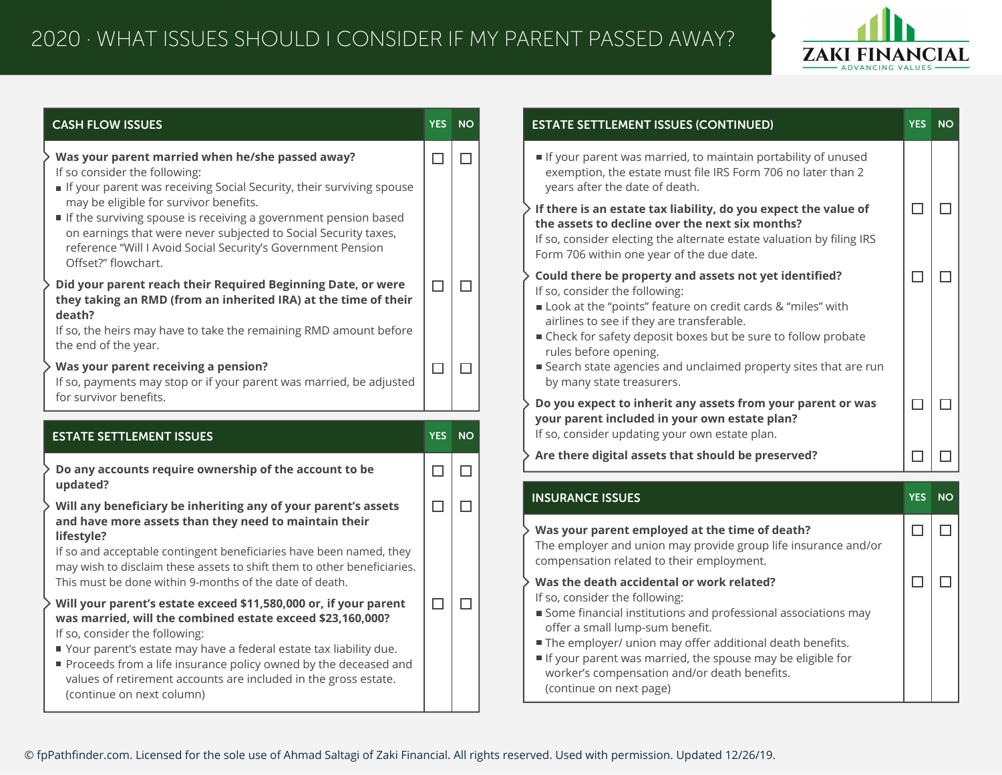

| <b>CASH FLOW ISSUES</b>                                                                                                                                                                                                                                             | <b>YES</b> | <b>NO</b> | <b>ESTATE SETTLEMENT ISSUES (CONTINUED)</b>                                                                                                                                                                                                                                                                  |      |
|---------------------------------------------------------------------------------------------------------------------------------------------------------------------------------------------------------------------------------------------------------------------|------------|-----------|--------------------------------------------------------------------------------------------------------------------------------------------------------------------------------------------------------------------------------------------------------------------------------------------------------------|------|
| Was your parent married when he/she passed away?<br>If so consider the following:<br>If your parent was receiving Social Security, their surviving spouse                                                                                                           | $\Box$     | $\Box$    | If your parent was married, to maintain portability of unused<br>exemption, the estate must file IRS Form 706 no later than 2<br>years after the date of death.                                                                                                                                              |      |
| may be eligible for survivor benefits.<br>If the surviving spouse is receiving a government pension based<br>on earnings that were never subjected to Social Security taxes,<br>reference "Will I Avoid Social Security's Government Pension<br>Offset?" flowchart. |            |           | If there is an estate tax liability, do you expect the value of<br>the assets to decline over the next six months?<br>If so, consider electing the alternate estate valuation by filing IRS<br>Form 706 within one year of the due date.                                                                     |      |
| Did your parent reach their Required Beginning Date, or were<br>they taking an RMD (from an inherited IRA) at the time of their<br>death?<br>If so, the heirs may have to take the remaining RMD amount before<br>the end of the year.                              | □          | $\Box$    | Could there be property and assets not yet identified?<br>If so, consider the following:<br>Look at the "points" feature on credit cards & "miles" with<br>airlines to see if they are transferable.<br>■ Check for safety deposit boxes but be sure to follow probate<br>rules before opening.              |      |
| Was your parent receiving a pension?<br>If so, payments may stop or if your parent was married, be adjusted<br>for survivor benefits.                                                                                                                               | $\Box$     | $\Box$    | ■ Search state agencies and unclaimed property sites that are run<br>by many state treasurers.                                                                                                                                                                                                               |      |
| <b>ESTATE SETTLEMENT ISSUES</b>                                                                                                                                                                                                                                     | YES.       | <b>NO</b> | Do you expect to inherit any assets from your parent or was<br>your parent included in your own estate plan?<br>If so, consider updating your own estate plan.                                                                                                                                               |      |
| Do any accounts require ownership of the account to be<br>updated?                                                                                                                                                                                                  | $\Box$     | $\Box$    | Are there digital assets that should be preserved?                                                                                                                                                                                                                                                           |      |
| Will any beneficiary be inheriting any of your parent's assets                                                                                                                                                                                                      | $\Box$     | $\Box$    | <b>INSURANCE ISSUES</b>                                                                                                                                                                                                                                                                                      | YES. |
| and have more assets than they need to maintain their<br>lifestyle?<br>If so and acceptable contingent beneficiaries have been named, they<br>may wish to disclaim these assets to shift them to other beneficiaries.                                               |            |           | Was your parent employed at the time of death?<br>The employer and union may provide group life insurance and/or<br>compensation related to their employment.                                                                                                                                                |      |
| This must be done within 9-months of the date of death.                                                                                                                                                                                                             |            |           | Was the death accidental or work related?                                                                                                                                                                                                                                                                    |      |
| Will your parent's estate exceed \$11,580,000 or, if your parent<br>was married, will the combined estate exceed \$23,160,000?<br>If so, consider the following:<br>Your parent's estate may have a federal estate tax liability due.                               | □          | $\Box$    | If so, consider the following:<br>Some financial institutions and professional associations may<br>offer a small lump-sum benefit.<br>The employer/ union may offer additional death benefits.<br>If your parent was married, the spouse may be eligible for<br>worker's compensation and/or death benefits. |      |